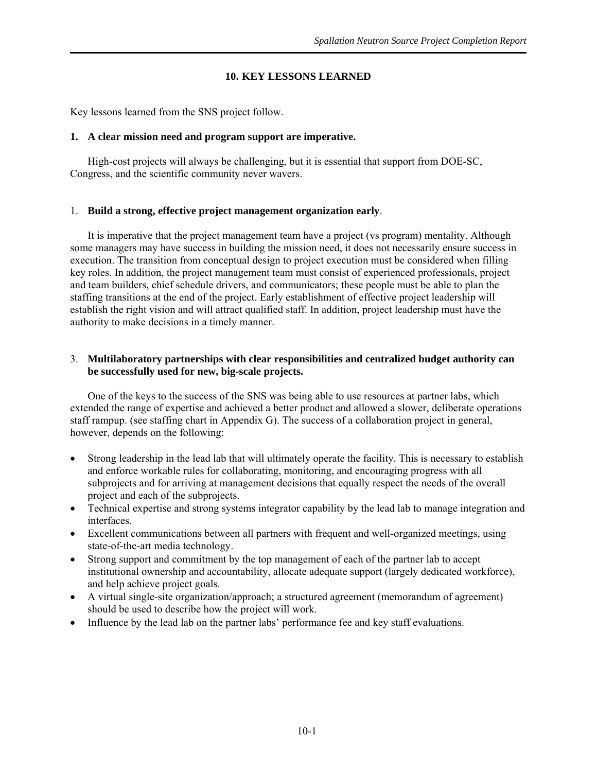# **10. KEY LESSONS LEARNED**

Key lessons learned from the SNS project follow.

# **1. A clear mission need and program support are imperative.**

High-cost projects will always be challenging, but it is essential that support from DOE-SC, Con gress, and the scientific community never wavers.

## 1. **Build a strong, effective project management organization early**.

It is imperative that the project management team have a project (vs program) mentality. Although some managers may have success in building the mission need, it does not necessarily ensure success in execution. The transition from conceptual design to project execution must be considered when filling key roles. In addition, the project management team must consist of experienced professionals, project and team builders, chief schedule drivers, and communicators; these people must be able to plan the staf fing transitions at the end of the project. Early establishment of effective project leadership will establish the right vision and will attract qualified staff. In addition, project leadership must have the authority to make decisions in a timely manner.

# 3. Multilaboratory partnerships with clear responsibilities and centralized budget authority can **be successfully used for new, big-scale projects.**

One of the keys to the success of the SNS was being able to use resources at partner labs, which extended the range of expertise and achieved a better product and allowed a slower, deliberate operations staff rampup. (see staffing chart in Appendix G). The success of a collaboration project in general, however, depends on the following:

- Strong leadership in the lead lab that will ultimately operate the facility. This is necessary to establish and enforce workable rules for collaborating, monitoring, and encouraging progress with all subprojects and for arriving at management decisions that equally respect the needs of the overall project and each of the subprojects.
- Technical expertise and strong systems integrator capability by the lead lab to manage integration and interfaces.
- Excellent communications between all partners with frequent and well-organized meetings, using state-of-the-art media technology.
- Strong support and commitment by the top management of each of the partner lab to accept institutional ownership and accountability, allocate adequate support (largely dedicated workforce), and help achieve project goals.
- A virtual single-site organization/approach; a structured agreement (memorandum of agreement) should be used to describe how the project will work.
- Influence by the lead lab on the partner labs' performance fee and key staff evaluations.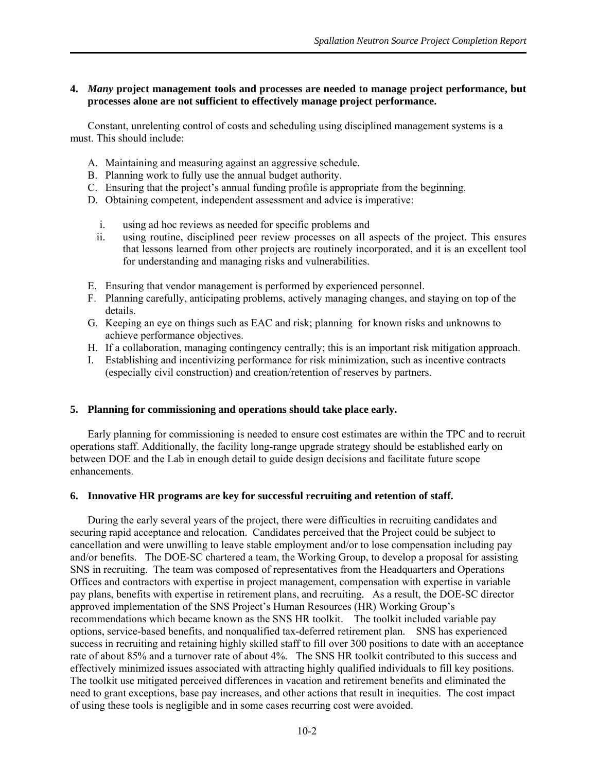## **4.** *Many* **project management tools and processes are needed to manage project performance, but processes alone are not sufficient to effectively manage project performance.**

Constant, unrelenting control of costs and scheduling using disciplined management systems is a must. This should include:

- A. Maintaining and measuring against an aggressive schedule.
- B. Planning work to fully use the annual budget authority.
- C. Ensuring that the project's annual funding profile is appropriate from the beginning.
- D. Obtaining competent, independent assessment and advice is imperative:
	- i. using ad hoc reviews as needed for specific problems and
	- ii. using routine, disciplined peer review processes on all aspects of the project. This ensures that lessons learned from other projects are routinely incorporated, and it is an excellent tool for understanding and managing risks and vulnerabilities.
- E. Ensuring that vendor management is performed by experienced personnel.
- F. Planning carefully, anticipating problems, actively managing changes, and staying on top of the details.
- G. Keeping an eye on things such as EAC and risk; planning for known risks and unknowns to achieve performance objectives.
- H. If a collaboration, managing contingency centrally; this is an important risk mitigation approach.
- I. Establishing and incentivizing performance for risk minimization, such as incentive contracts (especially civil construction) and creation/retention of reserves by partners.

### **5. Planning for commissioning and operations should take place early.**

Early planning for commissioning is needed to ensure cost estimates are within the TPC and to recruit operations staff. Additionally, the facility long-range upgrade strategy should be established early on between DOE and the Lab in enough detail to guide design decisions and facilitate future scope enhancements.

### **6. Innovative HR programs are key for successful recruiting and retention of staff.**

During the early several years of the project, there were difficulties in recruiting candidates and securing rapid acceptance and relocation. Candidates perceived that the Project could be subject to cancellation and were unwilling to leave stable employment and/or to lose compensation including pay and/or benefits. The DOE-SC chartered a team, the Working Group, to develop a proposal for assisting SNS in recruiting. The team was composed of representatives from the Headquarters and Operations Offices and contractors with expertise in project management, compensation with expertise in variable pay plans, benefits with expertise in retirement plans, and recruiting. As a result, the DOE-SC director approved implementation of the SNS Project's Human Resources (HR) Working Group's recommendations which became known as the SNS HR toolkit. The toolkit included variable pay options, service-based benefits, and nonqualified tax-deferred retirement plan. SNS has experienced success in recruiting and retaining highly skilled staff to fill over 300 positions to date with an acceptance rate of about 85% and a turnover rate of about 4%. The SNS HR toolkit contributed to this success and effectively minimized issues associated with attracting highly qualified individuals to fill key positions. The toolkit use mitigated perceived differences in vacation and retirement benefits and eliminated the need to grant exceptions, base pay increases, and other actions that result in inequities. The cost impact of using these tools is negligible and in some cases recurring cost were avoided.